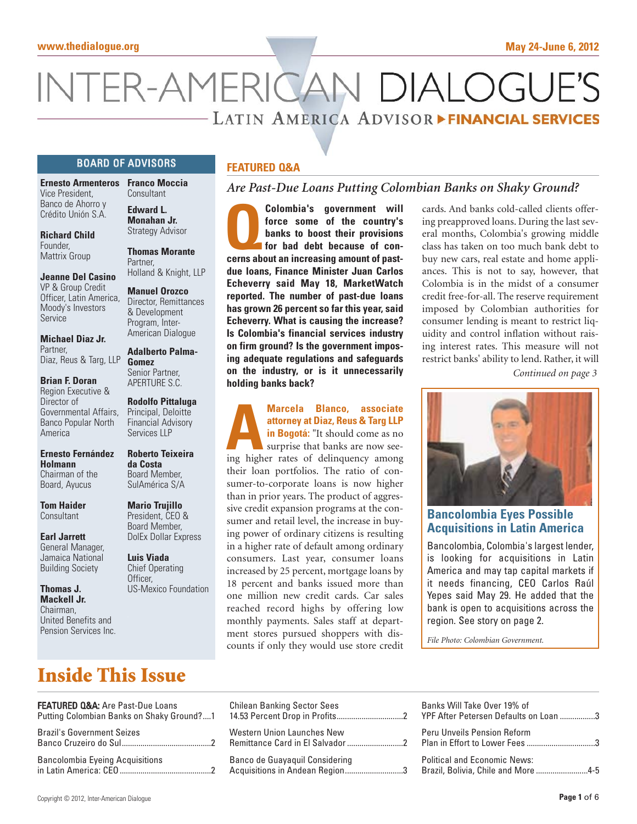# NTER-AMERICAN DIALOGU - LATIN AMERICA ADVISOR FINANCIAL SERVICES

**Colombia's government will**<br>force some of the country's<br>banks to boost their provisions<br>for bad debt because of con-<br>cerns about an increasing amount of past-

**due loans, Finance Minister Juan Carlos Echeverry said May 18, MarketWatch reported. The number of past-due loans has grown 26 percent so far this year, said Echeverry. What is causing the increase? Is Colombia's financial services industry on firm ground? Is the government imposing adequate regulations and safeguards**

**force some of the country's banks to boost their provisions for bad debt because of con-**

*Are Past-Due Loans Putting Colombian Banks on Shaky Ground?*

## BOARD OF ADVISORS

**Ernesto Armenteros Franco Moccia** Vice President, Banco de Ahorro y Crédito Unión S.A.

**Richard Child Founder** Mattrix Group

**Jeanne Del Casino** VP & Group Credit Officer, Latin America, Moody's Investors Service

**Michael Diaz Jr.** Partner, Diaz, Reus & Targ, LLP

**Brian F. Doran** Region Executive & Director of Governmental Affairs, Banco Popular North America

**Ernesto Fernández Holmann** Chairman of the Board, Ayucus

**Tom Haider Consultant** 

**Earl Jarrett** General Manager, Jamaica National Building Society

**Thomas J. Mackell Jr.** Chairman, United Benefits and Pension Services Inc.

# Consultant

**Edward L. Monahan Jr.** Strategy Advisor

**Thomas Morante** Partner, Holland & Knight, LLP

**Manuel Orozco** Director, Remittances & Development Program, Inter-American Dialogue

**Adalberto Palma-Gomez** Senior Partner, APERTURE S.C.

**Rodolfo Pittaluga** Principal, Deloitte Financial Advisory Services LLP

**Roberto Teixeira da Costa** Board Member, SulAmérica S/A

**Mario Trujillo** President, CEO & Board Member, DolEx Dollar Express

**Luis Viada** Chief Operating Officer, US-Mexico Foundation

# **on the industry, or is it unnecessarily holding banks back?**

**FEATURED Q&A**

# **attorney at Diaz, Reus & Targ LLP**

**A Marcela Blanco, associate**<br> **A attorney at Diaz, Reus & Targ LLP**<br> **in Bogotá:** "It should come as no<br>
surprise that banks are now see-<br>
ing higher rates of delinquency among **in Bogotá:** "It should come as no surprise that banks are now seetheir loan portfolios. The ratio of consumer-to-corporate loans is now higher than in prior years. The product of aggressive credit expansion programs at the consumer and retail level, the increase in buying power of ordinary citizens is resulting in a higher rate of default among ordinary consumers. Last year, consumer loans increased by 25 percent, mortgage loans by 18 percent and banks issued more than one million new credit cards. Car sales reached record highs by offering low monthly payments. Sales staff at department stores pursued shoppers with discounts if only they would use store credit

cards. And banks cold-called clients offering preapproved loans. During the last several months, Colombia's growing middle class has taken on too much bank debt to buy new cars, real estate and home appliances. This is not to say, however, that Colombia is in the midst of a consumer credit free-for-all. The reserve requirement imposed by Colombian authorities for consumer lending is meant to restrict liquidity and control inflation without raising interest rates. This measure will not restrict banks' ability to lend. Rather, it will

*Continued on page 3*



**Bancolombia Eyes Possible Acquisitions in Latin America**

Bancolombia, Colombia's largest lender, is looking for acquisitions in Latin America and may tap capital markets if it needs financing, CEO Carlos Raúl Yepes said May 29. He added that the bank is open to acquisitions across the region. See story on page 2.

*File Photo: Colombian Government.*

# **Inside This Issue**

| FEATURED Q&A: Are Past-Due Loans          | <b>Chilean Banking Sector Sees</b> |
|-------------------------------------------|------------------------------------|
| Putting Colombian Banks on Shaky Ground?1 |                                    |
| <b>Brazil's Government Seizes</b>         | <b>Western Union Launches New</b>  |
|                                           |                                    |
| <b>Bancolombia Eyeing Acquisitions</b>    | Banco de Guayaquil Considering     |
|                                           | Acquisitions in Andean Region3     |

| Banks Will Take Over 19% of<br>YPF After Petersen Defaults on Loan 3      |  |
|---------------------------------------------------------------------------|--|
| Peru Unveils Pension Reform                                               |  |
| <b>Political and Economic News:</b><br>Brazil, Bolivia, Chile and More4-5 |  |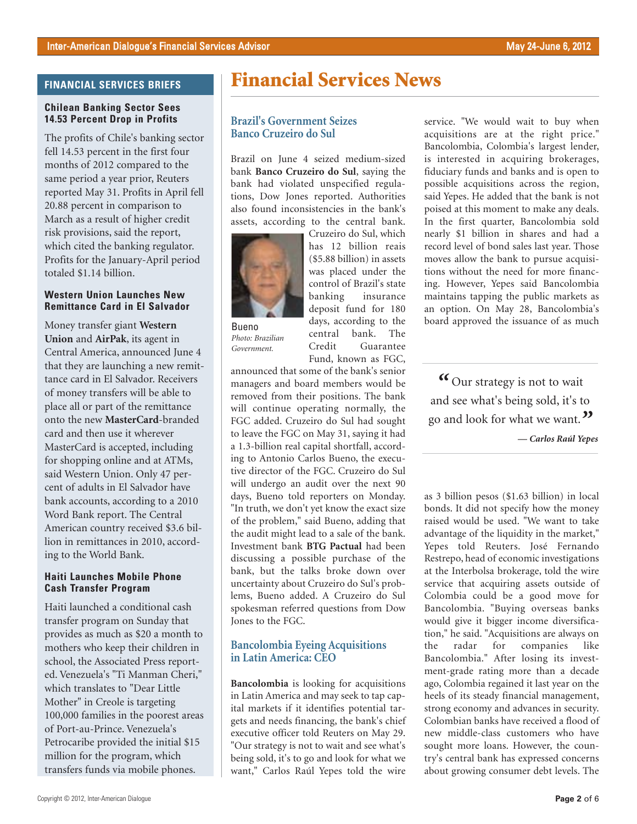### **FINANCIAL SERVICES BRIEFS**

#### **Chilean Banking Sector Sees 14.53 Percent Drop in Profits**

The profits of Chile's banking sector fell 14.53 percent in the first four months of 2012 compared to the same period a year prior, Reuters reported May 31. Profits in April fell 20.88 percent in comparison to March as a result of higher credit risk provisions, said the report, which cited the banking regulator. Profits for the January-April period totaled \$1.14 billion.

#### **Western Union Launches New Remittance Card in El Salvador**

Money transfer giant **Western Union** and **AirPak**, its agent in Central America, announced June 4 that they are launching a new remittance card in El Salvador. Receivers of money transfers will be able to place all or part of the remittance onto the new **MasterCard**-branded card and then use it wherever MasterCard is accepted, including for shopping online and at ATMs, said Western Union. Only 47 percent of adults in El Salvador have bank accounts, according to a 2010 Word Bank report. The Central American country received \$3.6 billion in remittances in 2010, according to the World Bank.

#### **Haiti Launches Mobile Phone Cash Transfer Program**

Haiti launched a conditional cash transfer program on Sunday that provides as much as \$20 a month to mothers who keep their children in school, the Associated Press reported. Venezuela's "Ti Manman Cheri," which translates to "Dear Little Mother" in Creole is targeting 100,000 families in the poorest areas of Port-au-Prince. Venezuela's Petrocaribe provided the initial \$15 million for the program, which transfers funds via mobile phones.

# **Financial Services News**

### **Brazil's Government Seizes Banco Cruzeiro do Sul**

Brazil on June 4 seized medium-sized bank **Banco Cruzeiro do Sul**, saying the bank had violated unspecified regulations, Dow Jones reported. Authorities also found inconsistencies in the bank's assets, according to the central bank.



Cruzeiro do Sul, which has 12 billion reais (\$5.88 billion) in assets was placed under the control of Brazil's state banking insurance deposit fund for 180 days, according to the central bank. The Credit Guarantee Fund, known as FGC,

*Photo: Brazilian Government.*

Bueno

announced that some of the bank's senior managers and board members would be removed from their positions. The bank will continue operating normally, the FGC added. Cruzeiro do Sul had sought to leave the FGC on May 31, saying it had a 1.3-billion real capital shortfall, according to Antonio Carlos Bueno, the executive director of the FGC. Cruzeiro do Sul will undergo an audit over the next 90 days, Bueno told reporters on Monday. "In truth, we don't yet know the exact size of the problem," said Bueno, adding that the audit might lead to a sale of the bank. Investment bank **BTG Pactual** had been discussing a possible purchase of the bank, but the talks broke down over uncertainty about Cruzeiro do Sul's problems, Bueno added. A Cruzeiro do Sul spokesman referred questions from Dow Jones to the FGC.

### **Bancolombia Eyeing Acquisitions in Latin America: CEO**

**Bancolombia** is looking for acquisitions in Latin America and may seek to tap capital markets if it identifies potential targets and needs financing, the bank's chief executive officer told Reuters on May 29. "Our strategy is not to wait and see what's being sold, it's to go and look for what we want," Carlos Raúl Yepes told the wire

service. "We would wait to buy when acquisitions are at the right price." Bancolombia, Colombia's largest lender, is interested in acquiring brokerages, fiduciary funds and banks and is open to possible acquisitions across the region, said Yepes. He added that the bank is not poised at this moment to make any deals. In the first quarter, Bancolombia sold nearly \$1 billion in shares and had a record level of bond sales last year. Those moves allow the bank to pursue acquisitions without the need for more financing. However, Yepes said Bancolombia maintains tapping the public markets as an option. On May 28, Bancolombia's board approved the issuance of as much

*"* Our strategy is not to wait and see what's being sold, it's to go and look for what we want.*"*

*— Carlos Raúl Yepes*

as 3 billion pesos (\$1.63 billion) in local bonds. It did not specify how the money raised would be used. "We want to take advantage of the liquidity in the market," Yepes told Reuters. José Fernando Restrepo, head of economic investigations at the Interbolsa brokerage, told the wire service that acquiring assets outside of Colombia could be a good move for Bancolombia. "Buying overseas banks would give it bigger income diversification," he said. "Acquisitions are always on the radar for companies like Bancolombia." After losing its investment-grade rating more than a decade ago, Colombia regained it last year on the heels of its steady financial management, strong economy and advances in security. Colombian banks have received a flood of new middle-class customers who have sought more loans. However, the country's central bank has expressed concerns about growing consumer debt levels. The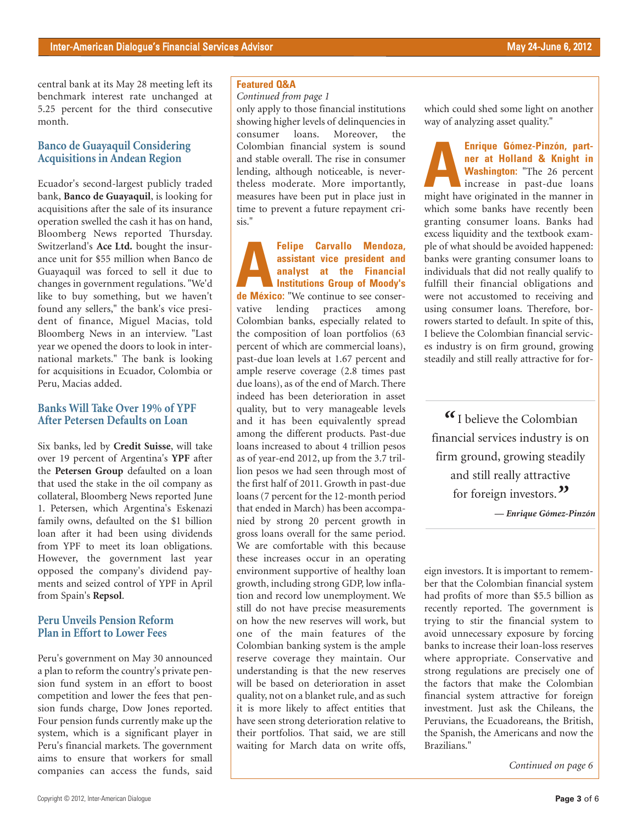central bank at its May 28 meeting left its benchmark interest rate unchanged at 5.25 percent for the third consecutive month.

#### **Banco de Guayaquil Considering Acquisitions in Andean Region**

Ecuador's second-largest publicly traded bank, **Banco de Guayaquil**, is looking for acquisitions after the sale of its insurance operation swelled the cash it has on hand, Bloomberg News reported Thursday. Switzerland's **Ace Ltd.** bought the insurance unit for \$55 million when Banco de Guayaquil was forced to sell it due to changes in government regulations. "We'd like to buy something, but we haven't found any sellers," the bank's vice president of finance, Miguel Macias, told Bloomberg News in an interview. "Last year we opened the doors to look in international markets." The bank is looking for acquisitions in Ecuador, Colombia or Peru, Macias added.

### **Banks Will Take Over 19% of YPF After Petersen Defaults on Loan**

Six banks, led by **Credit Suisse**, will take over 19 percent of Argentina's **YPF** after the **Petersen Group** defaulted on a loan that used the stake in the oil company as collateral, Bloomberg News reported June 1. Petersen, which Argentina's Eskenazi family owns, defaulted on the \$1 billion loan after it had been using dividends from YPF to meet its loan obligations. However, the government last year opposed the company's dividend payments and seized control of YPF in April from Spain's **Repsol**.

### **Peru Unveils Pension Reform Plan in Effort to Lower Fees**

Peru's government on May 30 announced a plan to reform the country's private pension fund system in an effort to boost competition and lower the fees that pension funds charge, Dow Jones reported. Four pension funds currently make up the system, which is a significant player in Peru's financial markets. The government aims to ensure that workers for small companies can access the funds, said

#### **Featured Q&A**

#### *Continued from page 1*

only apply to those financial institutions showing higher levels of delinquencies in<br>consumer loans. Moreover, the consumer loans. Moreover, the Colombian financial system is sound and stable overall. The rise in consumer lending, although noticeable, is nevertheless moderate. More importantly, measures have been put in place just in time to prevent a future repayment crisis."

**AFRECA EXECUTE CARRY AFFECTS ASSISTANT VICE PRESIDENT AND APPROXIMATE CONSUMING A LIMIT OF MOST AND A LIMIT OF MEDIA AND A LIMIT OF MEDIA AND A LIMIT OF MEDIA AND A LIMIT OF MEDIA AND A LIMIT OF MEDIA AND A LIMIT OF MEDIA assistant vice president and analyst at the Financial Institutions Group of Moody's** vative lending practices among Colombian banks, especially related to the composition of loan portfolios (63 percent of which are commercial loans), past-due loan levels at 1.67 percent and ample reserve coverage (2.8 times past due loans), as of the end of March. There indeed has been deterioration in asset quality, but to very manageable levels and it has been equivalently spread among the different products. Past-due loans increased to about 4 trillion pesos as of year-end 2012, up from the 3.7 trillion pesos we had seen through most of the first half of 2011. Growth in past-due loans (7 percent for the 12-month period that ended in March) has been accompanied by strong 20 percent growth in gross loans overall for the same period. We are comfortable with this because these increases occur in an operating environment supportive of healthy loan growth, including strong GDP, low inflation and record low unemployment. We still do not have precise measurements on how the new reserves will work, but one of the main features of the Colombian banking system is the ample reserve coverage they maintain. Our understanding is that the new reserves will be based on deterioration in asset quality, not on a blanket rule, and as such it is more likely to affect entities that have seen strong deterioration relative to their portfolios. That said, we are still waiting for March data on write offs,

which could shed some light on another way of analyzing asset quality."

**ARENTI COMEZ-PINZÓN, part-**<br> **AERENTI Washington:** "The 26 percent<br>
increase in past-due loans<br>
might have originated in the manner in **ner at Holland & Knight in Washington:** "The 26 percent increase in past-due loans which some banks have recently been granting consumer loans. Banks had excess liquidity and the textbook example of what should be avoided happened: banks were granting consumer loans to individuals that did not really qualify to fulfill their financial obligations and were not accustomed to receiving and using consumer loans. Therefore, borrowers started to default. In spite of this, I believe the Colombian financial services industry is on firm ground, growing steadily and still really attractive for for-

*"* I believe the Colombian financial services industry is on firm ground, growing steadily and still really attractive for foreign investors.*"*

*— Enrique Gómez-Pinzón*

eign investors. It is important to remember that the Colombian financial system had profits of more than \$5.5 billion as recently reported. The government is trying to stir the financial system to avoid unnecessary exposure by forcing banks to increase their loan-loss reserves where appropriate. Conservative and strong regulations are precisely one of the factors that make the Colombian financial system attractive for foreign investment. Just ask the Chileans, the Peruvians, the Ecuadoreans, the British, the Spanish, the Americans and now the Brazilians."

*Continued on page 6*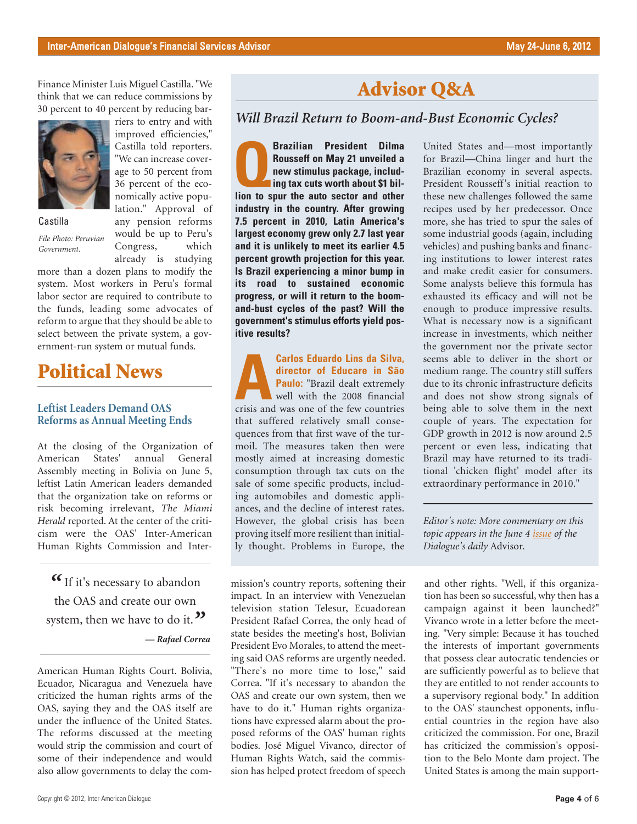Finance Minister Luis Miguel Castilla. "We think that we can reduce commissions by 30 percent to 40 percent by reducing bar-



riers to entry and with improved efficiencies," Castilla told reporters. "We can increase coverage to 50 percent from 36 percent of the economically active population." Approval of any pension reforms would be up to Peru's Congress, which

Castilla

*File Photo: Peruvian Government.*

already is studying more than a dozen plans to modify the system. Most workers in Peru's formal labor sector are required to contribute to the funds, leading some advocates of reform to argue that they should be able to select between the private system, a government-run system or mutual funds.

# **Political News**

### **Leftist Leaders Demand OAS Reforms as Annual Meeting Ends**

At the closing of the Organization of American States' annual General Assembly meeting in Bolivia on June 5, leftist Latin American leaders demanded that the organization take on reforms or risk becoming irrelevant, *The Miami Herald* reported. At the center of the criticism were the OAS' Inter-American Human Rights Commission and Inter-

*"* If it's necessary to abandon the OAS and create our own system, then we have to do it.<sup>"</sup> *— Rafael Correa*

American Human Rights Court. Bolivia, Ecuador, Nicaragua and Venezuela have criticized the human rights arms of the OAS, saying they and the OAS itself are under the influence of the United States. The reforms discussed at the meeting would strip the commission and court of some of their independence and would also allow governments to delay the com-

# **Advisor Q&A**

# *Will Brazil Return to Boom-and-Bust Economic Cycles?*

**President Dilma**<br> **Rousseff on May 21 unveiled a**<br> **new stimulus package, including tax cuts worth about \$1 bil-<br>
lion to spur the auto sector and other Rousseff on May 21 unveiled a new stimulus package, includling tax cuts worth about \$1 bilindustry in the country. After growing 7.5 percent in 2010, Latin America's largest economy grew only 2.7 last year and it is unlikely to meet its earlier 4.5 percent growth projection for this year. Is Brazil experiencing a minor bump in its road to sustained economic progress, or will it return to the boomand-bust cycles of the past? Will the government's stimulus efforts yield positive results?**

**ACARLOS Eduardo Lins da Silva,**<br> **ACCALLOS Educare in São<br>
Paulo:** "Brazil dealt extremely<br>
well with the 2008 financial<br>
crisis and was one of the few countries **director of Educare in São Paulo:** "Brazil dealt extremely well with the 2008 financial that suffered relatively small consequences from that first wave of the turmoil. The measures taken then were mostly aimed at increasing domestic consumption through tax cuts on the sale of some specific products, including automobiles and domestic appliances, and the decline of interest rates. However, the global crisis has been proving itself more resilient than initially thought. Problems in Europe, the

mission's country reports, softening their impact. In an interview with Venezuelan television station Telesur, Ecuadorean President Rafael Correa, the only head of state besides the meeting's host, Bolivian President Evo Morales, to attend the meeting said OAS reforms are urgently needed. "There's no more time to lose," said Correa. "If it's necessary to abandon the OAS and create our own system, then we have to do it." Human rights organizations have expressed alarm about the proposed reforms of the OAS' human rights bodies. José Miguel Vivanco, director of Human Rights Watch, said the commission has helped protect freedom of speech

United States and—most importantly for Brazil—China linger and hurt the Brazilian economy in several aspects. President Rousseff's initial reaction to these new challenges followed the same recipes used by her predecessor. Once more, she has tried to spur the sales of some industrial goods (again, including vehicles) and pushing banks and financing institutions to lower interest rates and make credit easier for consumers. Some analysts believe this formula has exhausted its efficacy and will not be enough to produce impressive results. What is necessary now is a significant increase in investments, which neither the government nor the private sector seems able to deliver in the short or medium range. The country still suffers due to its chronic infrastructure deficits and does not show strong signals of being able to solve them in the next couple of years. The expectation for GDP growth in 2012 is now around 2.5 percent or even less, indicating that Brazil may have returned to its traditional 'chicken flight' model after its extraordinary performance in 2010."

*Editor's note: More commentary on this topic appears in the June [4 issue](http://www.thedialogue.org/uploads/LAA/Daily/2012/LAA120604.pdf) of the Dialogue's daily* Advisor*.*

and other rights. "Well, if this organization has been so successful, why then has a campaign against it been launched?" Vivanco wrote in a letter before the meeting. "Very simple: Because it has touched the interests of important governments that possess clear autocratic tendencies or are sufficiently powerful as to believe that they are entitled to not render accounts to a supervisory regional body." In addition to the OAS' staunchest opponents, influential countries in the region have also criticized the commission. For one, Brazil has criticized the commission's opposition to the Belo Monte dam project. The United States is among the main support-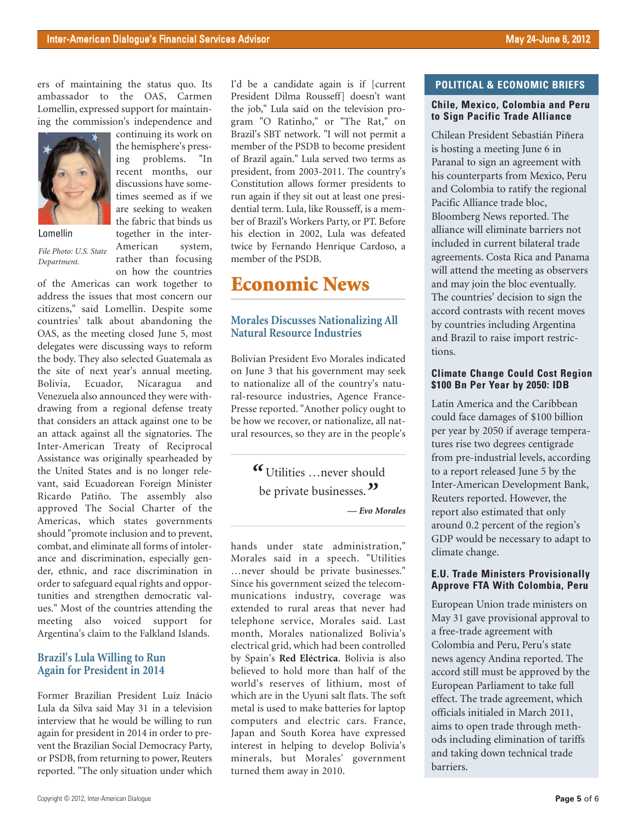continuing its work on the hemisphere's pressing problems. "In recent months, our discussions have sometimes seemed as if we

ers of maintaining the status quo. Its ambassador to the OAS, Carmen Lomellin, expressed support for maintaining the commission's independence and



Lomellin

*File Photo: U.S. State Department.*

are seeking to weaken the fabric that binds us together in the inter-American system, rather than focusing on how the countries

of the Americas can work together to address the issues that most concern our citizens," said Lomellin. Despite some countries' talk about abandoning the OAS, as the meeting closed June 5, most delegates were discussing ways to reform the body. They also selected Guatemala as the site of next year's annual meeting. Bolivia, Ecuador, Nicaragua and Venezuela also announced they were withdrawing from a regional defense treaty that considers an attack against one to be an attack against all the signatories. The Inter-American Treaty of Reciprocal Assistance was originally spearheaded by the United States and is no longer relevant, said Ecuadorean Foreign Minister Ricardo Patiño. The assembly also approved The Social Charter of the Americas, which states governments should "promote inclusion and to prevent, combat, and eliminate all forms of intolerance and discrimination, especially gender, ethnic, and race discrimination in order to safeguard equal rights and opportunities and strengthen democratic values." Most of the countries attending the meeting also voiced support for Argentina's claim to the Falkland Islands.

### **Brazil's Lula Willing to Run Again for President in 2014**

Former Brazilian President Luiz Inácio Lula da Silva said May 31 in a television interview that he would be willing to run again for president in 2014 in order to prevent the Brazilian Social Democracy Party, or PSDB, from returning to power, Reuters reported. "The only situation under which I'd be a candidate again is if [current President Dilma Rousseff] doesn't want the job," Lula said on the television program "O Ratinho," or "The Rat," on Brazil's SBT network. "I will not permit a member of the PSDB to become president of Brazil again." Lula served two terms as president, from 2003-2011. The country's Constitution allows former presidents to run again if they sit out at least one presidential term. Lula, like Rousseff, is a member of Brazil's Workers Party, or PT. Before his election in 2002, Lula was defeated twice by Fernando Henrique Cardoso, a member of the PSDB.

# **Economic News**

### **Morales Discusses Nationalizing All Natural Resource Industries**

Bolivian President Evo Morales indicated on June 3 that his government may seek to nationalize all of the country's natural-resource industries, Agence France-Presse reported. "Another policy ought to be how we recover, or nationalize, all natural resources, so they are in the people's

> *"* Utilities …never should be private businesses.*"*

> > *— Evo Morales*

hands under state administration," Morales said in a speech. "Utilities …never should be private businesses." Since his government seized the telecommunications industry, coverage was extended to rural areas that never had telephone service, Morales said. Last month, Morales nationalized Bolivia's electrical grid, which had been controlled by Spain's **Red Eléctrica**. Bolivia is also believed to hold more than half of the world's reserves of lithium, most of which are in the Uyuni salt flats. The soft metal is used to make batteries for laptop computers and electric cars. France, Japan and South Korea have expressed interest in helping to develop Bolivia's minerals, but Morales' government turned them away in 2010.

#### **POLITICAL & ECONOMIC BRIEFS**

#### **Chile, Mexico, Colombia and Peru to Sign Pacific Trade Alliance**

Chilean President Sebastián Piñera is hosting a meeting June 6 in Paranal to sign an agreement with his counterparts from Mexico, Peru and Colombia to ratify the regional Pacific Alliance trade bloc, Bloomberg News reported. The alliance will eliminate barriers not included in current bilateral trade agreements. Costa Rica and Panama will attend the meeting as observers and may join the bloc eventually. The countries' decision to sign the accord contrasts with recent moves by countries including Argentina and Brazil to raise import restrictions.

#### **Climate Change Could Cost Region \$100 Bn Per Year by 2050: IDB**

Latin America and the Caribbean could face damages of \$100 billion per year by 2050 if average temperatures rise two degrees centigrade from pre-industrial levels, according to a report released June 5 by the Inter-American Development Bank, Reuters reported. However, the report also estimated that only around 0.2 percent of the region's GDP would be necessary to adapt to climate change.

#### **E.U. Trade Ministers Provisionally Approve FTA With Colombia, Peru**

European Union trade ministers on May 31 gave provisional approval to a free-trade agreement with Colombia and Peru, Peru's state news agency Andina reported. The accord still must be approved by the European Parliament to take full effect. The trade agreement, which officials initialed in March 2011, aims to open trade through methods including elimination of tariffs and taking down technical trade barriers.